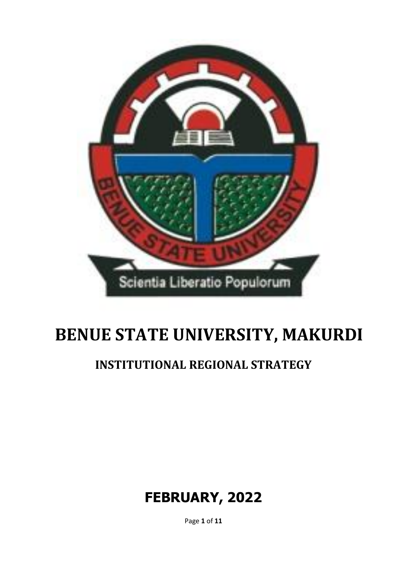

# **BENUE STATE UNIVERSITY, MAKURDI**

## **INSTITUTIONAL REGIONAL STRATEGY**

## **FEBRUARY, 2022**

Page **1** of **11**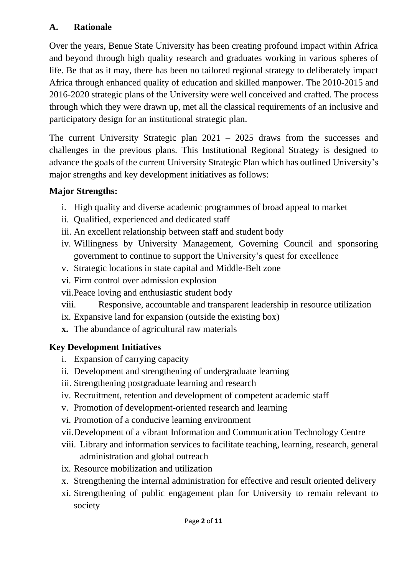### **A. Rationale**

Over the years, Benue State University has been creating profound impact within Africa and beyond through high quality research and graduates working in various spheres of life. Be that as it may, there has been no tailored regional strategy to deliberately impact Africa through enhanced quality of education and skilled manpower. The 2010-2015 and 2016-2020 strategic plans of the University were well conceived and crafted. The process through which they were drawn up, met all the classical requirements of an inclusive and participatory design for an institutional strategic plan.

The current University Strategic plan 2021 – 2025 draws from the successes and challenges in the previous plans. This Institutional Regional Strategy is designed to advance the goals of the current University Strategic Plan which has outlined University's major strengths and key development initiatives as follows:

#### **Major Strengths:**

- i. High quality and diverse academic programmes of broad appeal to market
- ii. Qualified, experienced and dedicated staff
- iii. An excellent relationship between staff and student body
- iv. Willingness by University Management, Governing Council and sponsoring government to continue to support the University's quest for excellence
- v. Strategic locations in state capital and Middle-Belt zone
- vi. Firm control over admission explosion
- vii.Peace loving and enthusiastic student body
- viii. Responsive, accountable and transparent leadership in resource utilization
- ix. Expansive land for expansion (outside the existing box)
- **x.** The abundance of agricultural raw materials

#### **Key Development Initiatives**

- i. Expansion of carrying capacity
- ii. Development and strengthening of undergraduate learning
- iii. Strengthening postgraduate learning and research
- iv. Recruitment, retention and development of competent academic staff
- v. Promotion of development-oriented research and learning
- vi. Promotion of a conducive learning environment
- vii.Development of a vibrant Information and Communication Technology Centre
- viii. Library and information services to facilitate teaching, learning, research, general administration and global outreach
- ix. Resource mobilization and utilization
- x. Strengthening the internal administration for effective and result oriented delivery
- xi. Strengthening of public engagement plan for University to remain relevant to society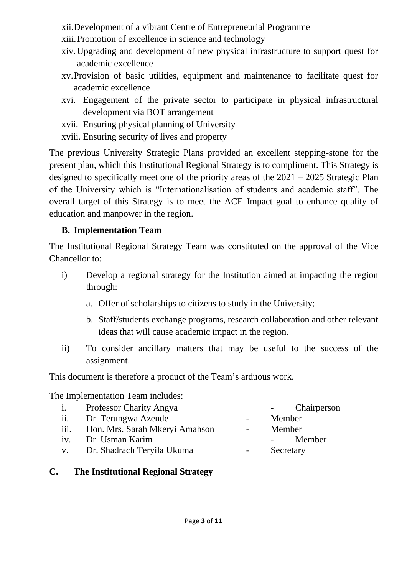xii.Development of a vibrant Centre of Entrepreneurial Programme

- xiii.Promotion of excellence in science and technology
- xiv.Upgrading and development of new physical infrastructure to support quest for academic excellence
- xv.Provision of basic utilities, equipment and maintenance to facilitate quest for academic excellence
- xvi. Engagement of the private sector to participate in physical infrastructural development via BOT arrangement
- xvii. Ensuring physical planning of University
- xviii. Ensuring security of lives and property

The previous University Strategic Plans provided an excellent stepping-stone for the present plan, which this Institutional Regional Strategy is to compliment. This Strategy is designed to specifically meet one of the priority areas of the 2021 – 2025 Strategic Plan of the University which is "Internationalisation of students and academic staff". The overall target of this Strategy is to meet the ACE Impact goal to enhance quality of education and manpower in the region.

## **B. Implementation Team**

The Institutional Regional Strategy Team was constituted on the approval of the Vice Chancellor to:

- i) Develop a regional strategy for the Institution aimed at impacting the region through:
	- a. Offer of scholarships to citizens to study in the University;
	- b. Staff/students exchange programs, research collaboration and other relevant ideas that will cause academic impact in the region.
- ii) To consider ancillary matters that may be useful to the success of the assignment.

This document is therefore a product of the Team's arduous work.

The Implementation Team includes:

|     | i. Professor Charity Angya          |                          | Chairperson<br>$\sim 100$ |
|-----|-------------------------------------|--------------------------|---------------------------|
| ii. | Dr. Terungwa Azende                 |                          | Member                    |
|     | iii. Hon. Mrs. Sarah Mkeryi Amahson | $\overline{\phantom{0}}$ | Member                    |
| iv. | Dr. Usman Karim                     |                          | Member                    |
|     | v. Dr. Shadrach Teryila Ukuma       |                          | Secretary                 |

## **C. The Institutional Regional Strategy**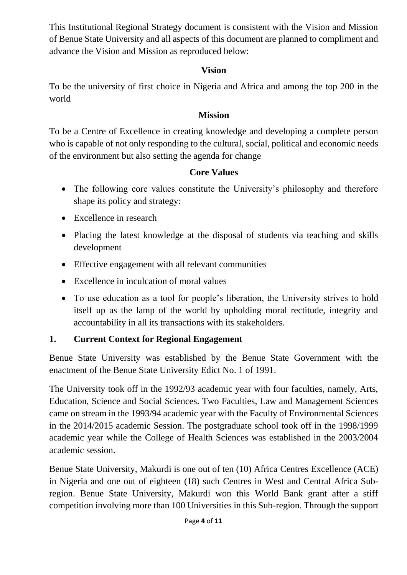This Institutional Regional Strategy document is consistent with the Vision and Mission of Benue State University and all aspects of this document are planned to compliment and advance the Vision and Mission as reproduced below:

#### **Vision**

To be the university of first choice in Nigeria and Africa and among the top 200 in the world

#### **Mission**

To be a Centre of Excellence in creating knowledge and developing a complete person who is capable of not only responding to the cultural, social, political and economic needs of the environment but also setting the agenda for change

### **Core Values**

- The following core values constitute the University's philosophy and therefore shape its policy and strategy:
- Excellence in research
- Placing the latest knowledge at the disposal of students via teaching and skills development
- Effective engagement with all relevant communities
- Excellence in inculcation of moral values
- To use education as a tool for people's liberation, the University strives to hold itself up as the lamp of the world by upholding moral rectitude, integrity and accountability in all its transactions with its stakeholders.

## **1. Current Context for Regional Engagement**

Benue State University was established by the Benue State Government with the enactment of the Benue State University Edict No. 1 of 1991.

The University took off in the 1992/93 academic year with four faculties, namely, Arts, Education, Science and Social Sciences. Two Faculties, Law and Management Sciences came on stream in the 1993/94 academic year with the Faculty of Environmental Sciences in the 2014/2015 academic Session. The postgraduate school took off in the 1998/1999 academic year while the College of Health Sciences was established in the 2003/2004 academic session.

Benue State University, Makurdi is one out of ten (10) Africa Centres Excellence (ACE) in Nigeria and one out of eighteen (18) such Centres in West and Central Africa Subregion. Benue State University, Makurdi won this World Bank grant after a stiff competition involving more than 100 Universities in this Sub-region. Through the support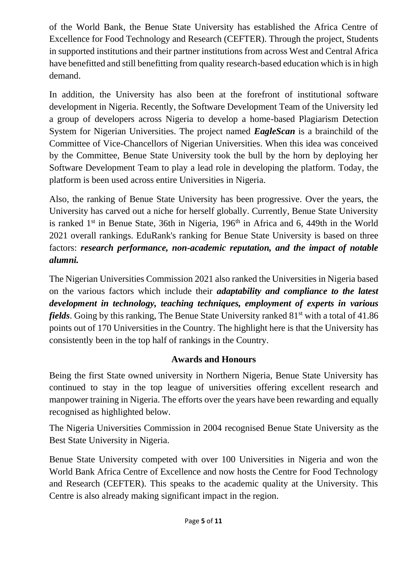of the World Bank, the Benue State University has established the Africa Centre of Excellence for Food Technology and Research (CEFTER). Through the project, Students in supported institutions and their partner institutions from across West and Central Africa have benefitted and still benefitting from quality research-based education which is in high demand.

In addition, the University has also been at the forefront of institutional software development in Nigeria. Recently, the Software Development Team of the University led a group of developers across Nigeria to develop a home-based Plagiarism Detection System for Nigerian Universities. The project named *EagleScan* is a brainchild of the Committee of Vice-Chancellors of Nigerian Universities. When this idea was conceived by the Committee, Benue State University took the bull by the horn by deploying her Software Development Team to play a lead role in developing the platform. Today, the platform is been used across entire Universities in Nigeria.

Also, the ranking of Benue State University has been progressive. Over the years, the University has carved out a niche for herself globally. Currently, Benue State University is ranked  $1<sup>st</sup>$  in Benue State, 36th in Nigeria,  $196<sup>th</sup>$  in Africa and 6, 449th in the World 2021 overall rankings. EduRank's ranking for Benue State University is based on three factors: *research performance, non-academic reputation, and the impact of notable alumni.*

The Nigerian Universities Commission 2021 also ranked the Universities in Nigeria based on the various factors which include their *adaptability and compliance to the latest development in technology, teaching techniques, employment of experts in various fields*. Going by this ranking, The Benue State University ranked 81<sup>st</sup> with a total of 41.86 points out of 170 Universities in the Country. The highlight here is that the University has consistently been in the top half of rankings in the Country.

### **Awards and Honours**

Being the first State owned university in Northern Nigeria, Benue State University has continued to stay in the top league of universities offering excellent research and manpower training in Nigeria. The efforts over the years have been rewarding and equally recognised as highlighted below.

The Nigeria Universities Commission in 2004 recognised Benue State University as the Best State University in Nigeria.

Benue State University competed with over 100 Universities in Nigeria and won the World Bank Africa Centre of Excellence and now hosts the Centre for Food Technology and Research (CEFTER). This speaks to the academic quality at the University. This Centre is also already making significant impact in the region.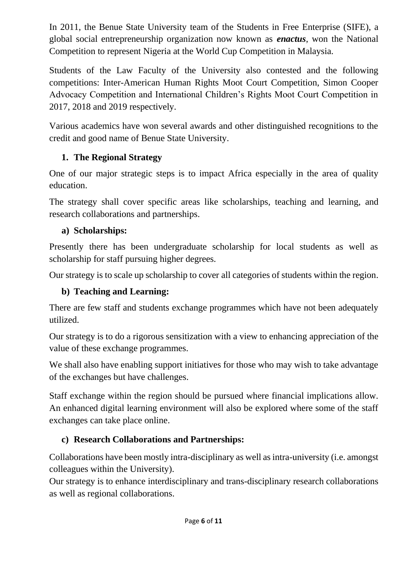In 2011, the Benue State University team of the Students in Free Enterprise (SIFE), a global social entrepreneurship organization now known as *enactus*, won the National Competition to represent Nigeria at the World Cup Competition in Malaysia.

Students of the Law Faculty of the University also contested and the following competitions: Inter-American Human Rights Moot Court Competition, Simon Cooper Advocacy Competition and International Children's Rights Moot Court Competition in 2017, 2018 and 2019 respectively.

Various academics have won several awards and other distinguished recognitions to the credit and good name of Benue State University.

## **1. The Regional Strategy**

One of our major strategic steps is to impact Africa especially in the area of quality education.

The strategy shall cover specific areas like scholarships, teaching and learning, and research collaborations and partnerships.

## **a) Scholarships:**

Presently there has been undergraduate scholarship for local students as well as scholarship for staff pursuing higher degrees.

Our strategy is to scale up scholarship to cover all categories of students within the region.

## **b) Teaching and Learning:**

There are few staff and students exchange programmes which have not been adequately utilized.

Our strategy is to do a rigorous sensitization with a view to enhancing appreciation of the value of these exchange programmes.

We shall also have enabling support initiatives for those who may wish to take advantage of the exchanges but have challenges.

Staff exchange within the region should be pursued where financial implications allow. An enhanced digital learning environment will also be explored where some of the staff exchanges can take place online.

## **c) Research Collaborations and Partnerships:**

Collaborations have been mostly intra-disciplinary as well as intra-university (i.e. amongst colleagues within the University).

Our strategy is to enhance interdisciplinary and trans-disciplinary research collaborations as well as regional collaborations.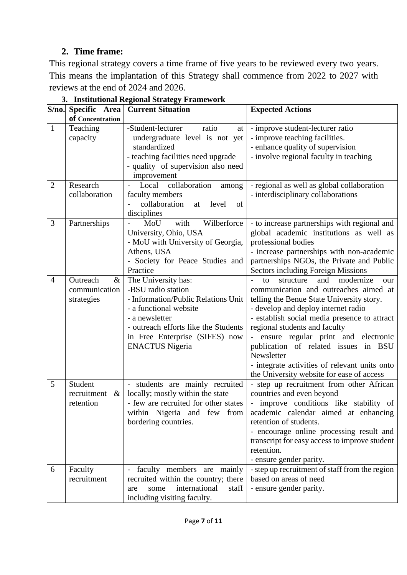## **2. Time frame:**

This regional strategy covers a time frame of five years to be reviewed every two years. This means the implantation of this Strategy shall commence from 2022 to 2027 with reviews at the end of 2024 and 2026.

| S/no.          | Specific Area                                | <b>Current Situation</b>                                                                                                                                                                                                         | <b>Expected Actions</b>                                                                                                                                                                                                                                                                                                                                                                                                                             |
|----------------|----------------------------------------------|----------------------------------------------------------------------------------------------------------------------------------------------------------------------------------------------------------------------------------|-----------------------------------------------------------------------------------------------------------------------------------------------------------------------------------------------------------------------------------------------------------------------------------------------------------------------------------------------------------------------------------------------------------------------------------------------------|
|                | of Concentration                             |                                                                                                                                                                                                                                  |                                                                                                                                                                                                                                                                                                                                                                                                                                                     |
| $\mathbf{1}$   | Teaching<br>capacity                         | -Student-lecturer<br>ratio<br>at<br>undergraduate level is not yet<br>standardized<br>- teaching facilities need upgrade<br>- quality of supervision also need<br>improvement                                                    | - improve student-lecturer ratio<br>- improve teaching facilities.<br>- enhance quality of supervision<br>- involve regional faculty in teaching                                                                                                                                                                                                                                                                                                    |
| $\overline{2}$ | Research<br>collaboration                    | collaboration<br>Local<br>among<br>faculty members<br>collaboration<br>level<br>of<br>at<br>disciplines                                                                                                                          | - regional as well as global collaboration<br>- interdisciplinary collaborations                                                                                                                                                                                                                                                                                                                                                                    |
| 3              | Partnerships                                 | with<br>Wilberforce<br>MoU<br>University, Ohio, USA<br>- MoU with University of Georgia,<br>Athens, USA<br>- Society for Peace Studies and<br>Practice                                                                           | - to increase partnerships with regional and<br>global academic institutions as well as<br>professional bodies<br>- increase partnerships with non-academic<br>partnerships NGOs, the Private and Public<br><b>Sectors including Foreign Missions</b>                                                                                                                                                                                               |
| $\overline{4}$ | Outreach<br>&<br>communication<br>strategies | The University has:<br>-BSU radio station<br>- Information/Public Relations Unit<br>- a functional website<br>- a newsletter<br>- outreach efforts like the Students<br>in Free Enterprise (SIFES) now<br><b>ENACTUS Nigeria</b> | and<br>modernize<br>structure<br>to<br>our<br>communication and outreaches aimed at<br>telling the Benue State University story.<br>- develop and deploy internet radio<br>- establish social media presence to attract<br>regional students and faculty<br>ensure regular print and electronic<br>publication of related issues in BSU<br>Newsletter<br>- integrate activities of relevant units onto<br>the University website for ease of access |
| 5              | Student<br>recruitment<br>$\&$<br>retention  | - students are mainly recruited<br>locally; mostly within the state<br>- few are recruited for other states<br>within Nigeria and few from<br>bordering countries.                                                               | - step up recruitment from other African<br>countries and even beyond<br>- improve conditions like stability of<br>academic calendar aimed at enhancing<br>retention of students.<br>- encourage online processing result and<br>transcript for easy access to improve student<br>retention.<br>- ensure gender parity.                                                                                                                             |
| 6              | Faculty<br>recruitment                       | faculty members are mainly<br>recruited within the country; there<br>international<br>staff<br>some<br>are<br>including visiting faculty.                                                                                        | - step up recruitment of staff from the region<br>based on areas of need<br>- ensure gender parity.                                                                                                                                                                                                                                                                                                                                                 |

**3. Institutional Regional Strategy Framework**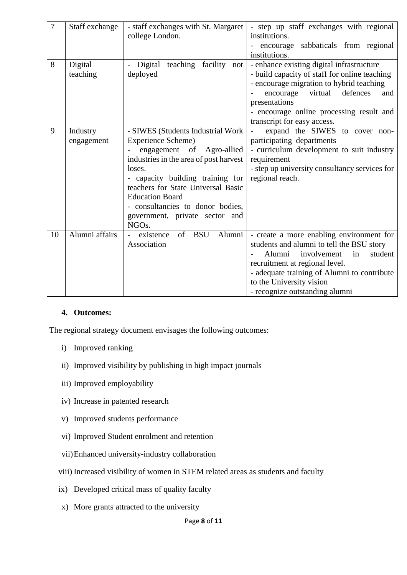| $\overline{7}$ | Staff exchange | - staff exchanges with St. Margaret     | - step up staff exchanges with regional       |
|----------------|----------------|-----------------------------------------|-----------------------------------------------|
|                |                | college London.                         | institutions.                                 |
|                |                |                                         | encourage sabbaticals from regional           |
|                |                |                                         | institutions.                                 |
| 8              | Digital        | Digital<br>teaching facility<br>not     | - enhance existing digital infrastructure     |
|                | teaching       | deployed                                | - build capacity of staff for online teaching |
|                |                |                                         | - encourage migration to hybrid teaching      |
|                |                |                                         | virtual<br>defences<br>encourage<br>and       |
|                |                |                                         | presentations                                 |
|                |                |                                         | - encourage online processing result and      |
|                |                |                                         | transcript for easy access.                   |
| 9              | Industry       | - SIWES (Students Industrial Work       | expand the SIWES to cover non-                |
|                | engagement     | Experience Scheme)                      | participating departments                     |
|                |                | engagement of Agro-allied               | - curriculum development to suit industry     |
|                |                | industries in the area of post harvest  | requirement                                   |
|                |                | loses.                                  | - step up university consultancy services for |
|                |                | - capacity building training for        | regional reach.                               |
|                |                | teachers for State Universal Basic      |                                               |
|                |                | <b>Education Board</b>                  |                                               |
|                |                | - consultancies to donor bodies,        |                                               |
|                |                | government, private sector and          |                                               |
|                |                | NGO <sub>s</sub> .                      |                                               |
| 10             | Alumni affairs | <b>BSU</b><br>Alumni<br>of<br>existence | - create a more enabling environment for      |
|                |                | Association                             | students and alumni to tell the BSU story     |
|                |                |                                         | Alumni<br>involvement<br>student<br>in        |
|                |                |                                         | recruitment at regional level.                |
|                |                |                                         | - adequate training of Alumni to contribute   |
|                |                |                                         | to the University vision                      |
|                |                |                                         | - recognize outstanding alumni                |

#### **4. Outcomes:**

The regional strategy document envisages the following outcomes:

- i) Improved ranking
- ii) Improved visibility by publishing in high impact journals
- iii) Improved employability
- iv) Increase in patented research
- v) Improved students performance
- vi) Improved Student enrolment and retention
- vii)Enhanced university-industry collaboration
- viii) Increased visibility of women in STEM related areas as students and faculty
- ix) Developed critical mass of quality faculty
- x) More grants attracted to the university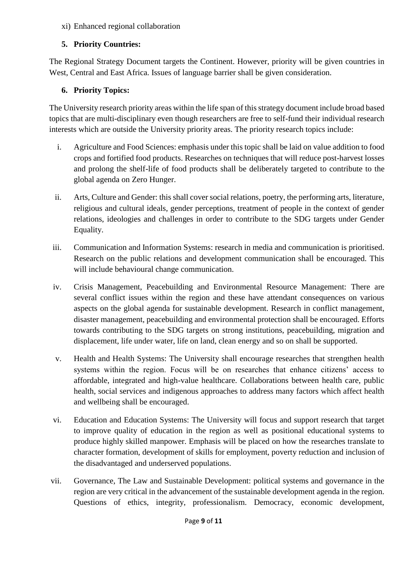#### xi) Enhanced regional collaboration

#### **5. Priority Countries:**

The Regional Strategy Document targets the Continent. However, priority will be given countries in West, Central and East Africa. Issues of language barrier shall be given consideration.

#### **6. Priority Topics:**

The University research priority areas within the life span of this strategy document include broad based topics that are multi-disciplinary even though researchers are free to self-fund their individual research interests which are outside the University priority areas. The priority research topics include:

- i. Agriculture and Food Sciences: emphasis under this topic shall be laid on value addition to food crops and fortified food products. Researches on techniques that will reduce post-harvest losses and prolong the shelf-life of food products shall be deliberately targeted to contribute to the global agenda on Zero Hunger.
- ii. Arts, Culture and Gender: this shall cover social relations, poetry, the performing arts, literature, religious and cultural ideals, gender perceptions, treatment of people in the context of gender relations, ideologies and challenges in order to contribute to the SDG targets under Gender Equality.
- iii. Communication and Information Systems: research in media and communication is prioritised. Research on the public relations and development communication shall be encouraged. This will include behavioural change communication.
- iv. Crisis Management, Peacebuilding and Environmental Resource Management: There are several conflict issues within the region and these have attendant consequences on various aspects on the global agenda for sustainable development. Research in conflict management, disaster management, peacebuilding and environmental protection shall be encouraged. Efforts towards contributing to the SDG targets on strong institutions, peacebuilding, migration and displacement, life under water, life on land, clean energy and so on shall be supported.
- v. Health and Health Systems: The University shall encourage researches that strengthen health systems within the region. Focus will be on researches that enhance citizens' access to affordable, integrated and high-value healthcare. Collaborations between health care, public health, social services and indigenous approaches to address many factors which affect health and wellbeing shall be encouraged.
- vi. Education and Education Systems: The University will focus and support research that target to improve quality of education in the region as well as positional educational systems to produce highly skilled manpower. Emphasis will be placed on how the researches translate to character formation, development of skills for employment, poverty reduction and inclusion of the disadvantaged and underserved populations.
- vii. Governance, The Law and Sustainable Development: political systems and governance in the region are very critical in the advancement of the sustainable development agenda in the region. Questions of ethics, integrity, professionalism. Democracy, economic development,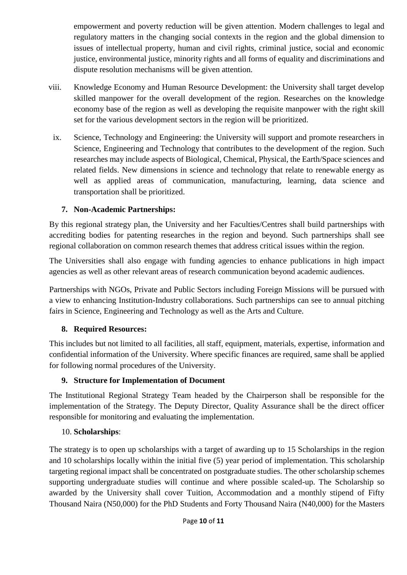empowerment and poverty reduction will be given attention. Modern challenges to legal and regulatory matters in the changing social contexts in the region and the global dimension to issues of intellectual property, human and civil rights, criminal justice, social and economic justice, environmental justice, minority rights and all forms of equality and discriminations and dispute resolution mechanisms will be given attention.

- viii. Knowledge Economy and Human Resource Development: the University shall target develop skilled manpower for the overall development of the region. Researches on the knowledge economy base of the region as well as developing the requisite manpower with the right skill set for the various development sectors in the region will be prioritized.
	- ix. Science, Technology and Engineering: the University will support and promote researchers in Science, Engineering and Technology that contributes to the development of the region. Such researches may include aspects of Biological, Chemical, Physical, the Earth/Space sciences and related fields. New dimensions in science and technology that relate to renewable energy as well as applied areas of communication, manufacturing, learning, data science and transportation shall be prioritized.

#### **7. Non-Academic Partnerships:**

By this regional strategy plan, the University and her Faculties/Centres shall build partnerships with accrediting bodies for patenting researches in the region and beyond. Such partnerships shall see regional collaboration on common research themes that address critical issues within the region.

The Universities shall also engage with funding agencies to enhance publications in high impact agencies as well as other relevant areas of research communication beyond academic audiences.

Partnerships with NGOs, Private and Public Sectors including Foreign Missions will be pursued with a view to enhancing Institution-Industry collaborations. Such partnerships can see to annual pitching fairs in Science, Engineering and Technology as well as the Arts and Culture.

#### **8. Required Resources:**

This includes but not limited to all facilities, all staff, equipment, materials, expertise, information and confidential information of the University. Where specific finances are required, same shall be applied for following normal procedures of the University.

#### **9. Structure for Implementation of Document**

The Institutional Regional Strategy Team headed by the Chairperson shall be responsible for the implementation of the Strategy. The Deputy Director, Quality Assurance shall be the direct officer responsible for monitoring and evaluating the implementation.

#### 10. **Scholarships**:

The strategy is to open up scholarships with a target of awarding up to 15 Scholarships in the region and 10 scholarships locally within the initial five (5) year period of implementation. This scholarship targeting regional impact shall be concentrated on postgraduate studies. The other scholarship schemes supporting undergraduate studies will continue and where possible scaled-up. The Scholarship so awarded by the University shall cover Tuition, Accommodation and a monthly stipend of Fifty Thousand Naira (N50,000) for the PhD Students and Forty Thousand Naira (N40,000) for the Masters